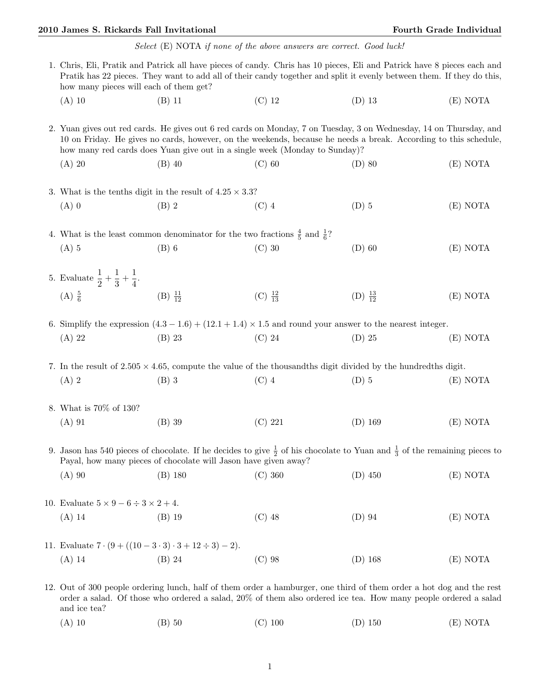## 2010 James S. Rickards Fall Invitational Fourth Grade Individual Fourth Grade Individual

|                                                                                                                                                                                                                                                                                            |                                                                                                                                                                                                                                                                                                                      |                                                                                                                       | Select (E) NOTA if none of the above answers are correct. Good luck! |                     |          |  |  |  |
|--------------------------------------------------------------------------------------------------------------------------------------------------------------------------------------------------------------------------------------------------------------------------------------------|----------------------------------------------------------------------------------------------------------------------------------------------------------------------------------------------------------------------------------------------------------------------------------------------------------------------|-----------------------------------------------------------------------------------------------------------------------|----------------------------------------------------------------------|---------------------|----------|--|--|--|
| 1. Chris, Eli, Pratik and Patrick all have pieces of candy. Chris has 10 pieces, Eli and Patrick have 8 pieces each and<br>Pratik has 22 pieces. They want to add all of their candy together and split it evenly between them. If they do this,<br>how many pieces will each of them get? |                                                                                                                                                                                                                                                                                                                      |                                                                                                                       |                                                                      |                     |          |  |  |  |
|                                                                                                                                                                                                                                                                                            | $(A)$ 10                                                                                                                                                                                                                                                                                                             | $(B)$ 11                                                                                                              | $(C)$ 12                                                             | $(D)$ 13            | (E) NOTA |  |  |  |
|                                                                                                                                                                                                                                                                                            | 2. Yuan gives out red cards. He gives out 6 red cards on Monday, 7 on Tuesday, 3 on Wednesday, 14 on Thursday, and<br>10 on Friday. He gives no cards, however, on the weekends, because he needs a break. According to this schedule,<br>how many red cards does Yuan give out in a single week (Monday to Sunday)? |                                                                                                                       |                                                                      |                     |          |  |  |  |
|                                                                                                                                                                                                                                                                                            | $(A)$ 20                                                                                                                                                                                                                                                                                                             | $(B)$ 40                                                                                                              | $(C)$ 60                                                             | $(D)$ 80            | (E) NOTA |  |  |  |
|                                                                                                                                                                                                                                                                                            |                                                                                                                                                                                                                                                                                                                      | 3. What is the tenths digit in the result of $4.25 \times 3.3$ ?                                                      |                                                                      |                     |          |  |  |  |
|                                                                                                                                                                                                                                                                                            | $(A)$ 0                                                                                                                                                                                                                                                                                                              | $(B)$ 2                                                                                                               | $(C)$ 4                                                              | $(D)$ 5             | (E) NOTA |  |  |  |
|                                                                                                                                                                                                                                                                                            | 4. What is the least common denominator for the two fractions $\frac{4}{5}$ and $\frac{1}{6}$ ?                                                                                                                                                                                                                      |                                                                                                                       |                                                                      |                     |          |  |  |  |
|                                                                                                                                                                                                                                                                                            | $(A)$ 5                                                                                                                                                                                                                                                                                                              | $(B)$ 6                                                                                                               | $(C)$ 30                                                             | $(D)$ 60            | (E) NOTA |  |  |  |
|                                                                                                                                                                                                                                                                                            | 5. Evaluate $\frac{1}{2} + \frac{1}{3} + \frac{1}{4}$ .                                                                                                                                                                                                                                                              |                                                                                                                       |                                                                      |                     |          |  |  |  |
|                                                                                                                                                                                                                                                                                            | $(A) \frac{5}{6}$                                                                                                                                                                                                                                                                                                    | $(B) \frac{11}{12}$                                                                                                   | (C) $\frac{12}{13}$                                                  | (D) $\frac{13}{12}$ | (E) NOTA |  |  |  |
|                                                                                                                                                                                                                                                                                            |                                                                                                                                                                                                                                                                                                                      | 6. Simplify the expression $(4.3 - 1.6) + (12.1 + 1.4) \times 1.5$ and round your answer to the nearest integer.      |                                                                      |                     |          |  |  |  |
|                                                                                                                                                                                                                                                                                            | $(A)$ 22                                                                                                                                                                                                                                                                                                             | $(B)$ 23                                                                                                              | $(C)$ 24                                                             | $(D)$ 25            | (E) NOTA |  |  |  |
|                                                                                                                                                                                                                                                                                            |                                                                                                                                                                                                                                                                                                                      | 7. In the result of $2.505 \times 4.65$ , compute the value of the thousandths digit divided by the hundredths digit. |                                                                      |                     |          |  |  |  |
|                                                                                                                                                                                                                                                                                            | $(A)$ 2                                                                                                                                                                                                                                                                                                              | $(B)$ 3                                                                                                               | $(C)$ 4                                                              | $(D)$ 5             | (E) NOTA |  |  |  |
|                                                                                                                                                                                                                                                                                            | 8. What is 70% of 130?                                                                                                                                                                                                                                                                                               |                                                                                                                       |                                                                      |                     |          |  |  |  |
|                                                                                                                                                                                                                                                                                            | $(A)$ 91                                                                                                                                                                                                                                                                                                             | $(B)$ 39                                                                                                              | (C) 221                                                              | $(D)$ 169           | (E) NOTA |  |  |  |
|                                                                                                                                                                                                                                                                                            | 9. Jason has 540 pieces of chocolate. If he decides to give $\frac{1}{2}$ of his chocolate to Yuan and $\frac{1}{3}$ of the remaining pieces to<br>Payal, how many pieces of chocolate will Jason have given away?                                                                                                   |                                                                                                                       |                                                                      |                     |          |  |  |  |
|                                                                                                                                                                                                                                                                                            | $(A)$ 90                                                                                                                                                                                                                                                                                                             | $(B)$ 180                                                                                                             | $(C)$ 360                                                            | $(D)$ 450           | (E) NOTA |  |  |  |
|                                                                                                                                                                                                                                                                                            | 10. Evaluate $5 \times 9 - 6 \div 3 \times 2 + 4$ .                                                                                                                                                                                                                                                                  |                                                                                                                       |                                                                      |                     |          |  |  |  |
|                                                                                                                                                                                                                                                                                            | $(A)$ 14                                                                                                                                                                                                                                                                                                             | $(B)$ 19                                                                                                              | $(C)$ 48                                                             | $(D)$ 94            | (E) NOTA |  |  |  |
|                                                                                                                                                                                                                                                                                            | 11. Evaluate $7 \cdot (9 + ((10 - 3 \cdot 3) \cdot 3 + 12 \div 3) - 2)$ .                                                                                                                                                                                                                                            |                                                                                                                       |                                                                      |                     |          |  |  |  |
|                                                                                                                                                                                                                                                                                            | $(A)$ 14                                                                                                                                                                                                                                                                                                             | $(B)$ 24                                                                                                              | $(C)$ 98                                                             | $(D)$ 168           | (E) NOTA |  |  |  |

- 12. Out of 300 people ordering lunch, half of them order a hamburger, one third of them order a hot dog and the rest order a salad. Of those who ordered a salad, 20% of them also ordered ice tea. How many people ordered a salad and ice tea?
	- (A) 10 (B) 50 (C) 100 (D) 150 (E) NOTA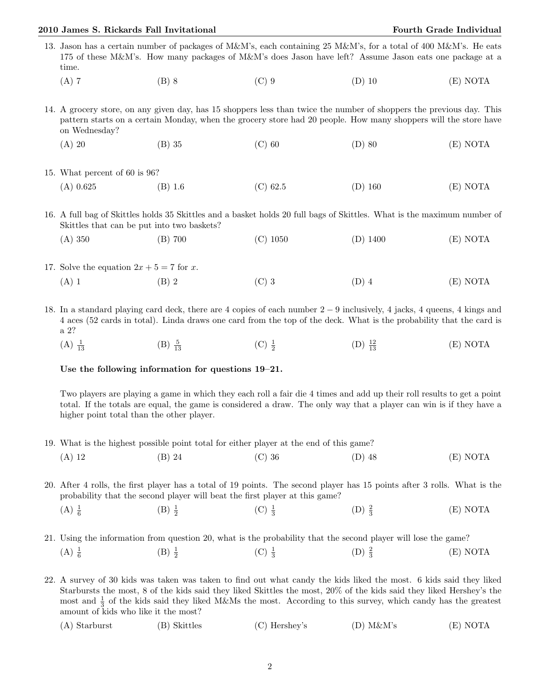## 2010 James S. Rickards Fall Invitational Fourth Grade Individual Fourth Grade Individual

- 13. Jason has a certain number of packages of M&M's, each containing 25 M&M's, for a total of 400 M&M's. He eats 175 of these M&M's. How many packages of M&M's does Jason have left? Assume Jason eats one package at a time.
	- (A) 7 (B) 8 (C) 9 (D) 10 (E) NOTA
- 14. A grocery store, on any given day, has 15 shoppers less than twice the number of shoppers the previous day. This pattern starts on a certain Monday, when the grocery store had 20 people. How many shoppers will the store have on Wednesday?
	- (A) 20 (B) 35 (C) 60 (D) 80 (E) NOTA
- 15. What percent of 60 is 96? (A) 0.625 (B) 1.6 (C) 62.5 (D) 160 (E) NOTA

16. A full bag of Skittles holds 35 Skittles and a basket holds 20 full bags of Skittles. What is the maximum number of Skittles that can be put into two baskets?

- (A) 350 (B) 700 (C) 1050 (D) 1400 (E) NOTA
- 17. Solve the equation  $2x + 5 = 7$  for x. (A) 1 (B) 2 (C) 3 (D) 4 (E) NOTA
- 18. In a standard playing card deck, there are 4 copies of each number 2 − 9 inclusively, 4 jacks, 4 queens, 4 kings and 4 aces (52 cards in total). Linda draws one card from the top of the deck. What is the probability that the card is a 2?
	- $(A) \frac{1}{13}$  $(B) \frac{5}{13}$  $\frac{5}{13}$  (C)  $\frac{1}{2}$  $(D) \frac{12}{13}$  $(E) NOTA$

## Use the following information for questions 19–21.

Two players are playing a game in which they each roll a fair die 4 times and add up their roll results to get a point total. If the totals are equal, the game is considered a draw. The only way that a player can win is if they have a higher point total than the other player.

19. What is the highest possible point total for either player at the end of this game?

|  | $(A)$ 12 | $(B)$ 24 | $(C)$ 36 | $(D)$ 48 | (E) NOTA |
|--|----------|----------|----------|----------|----------|
|--|----------|----------|----------|----------|----------|

20. After 4 rolls, the first player has a total of 19 points. The second player has 15 points after 3 rolls. What is the probability that the second player will beat the first player at this game?

- $(A) \frac{1}{6}$  $(B) \frac{1}{2}$  $(C)$   $\frac{1}{3}$  $(D) \frac{2}{3}$ (E) NOTA
- 21. Using the information from question 20, what is the probability that the second player will lose the game?  $(A) \frac{1}{6}$  $(B) \frac{1}{2}$  $(C)$   $\frac{1}{3}$  $(D) \frac{2}{3}$ (E) NOTA

22. A survey of 30 kids was taken was taken to find out what candy the kids liked the most. 6 kids said they liked Starbursts the most, 8 of the kids said they liked Skittles the most, 20% of the kids said they liked Hershey's the most and  $\frac{1}{3}$  of the kids said they liked M&Ms the most. According to this survey, which candy has the greatest amount of kids who like it the most?

| $(A)$ Starburst | (B) Skittles | $(C)$ Hershey's | $(D)$ M&M's | (E) NOTA |
|-----------------|--------------|-----------------|-------------|----------|
|                 |              |                 |             |          |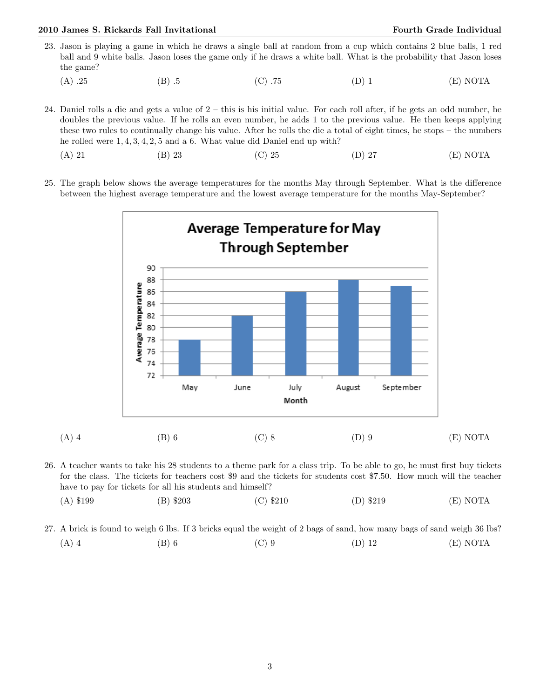## 2010 James S. Rickards Fall Invitational Fourth Grade Individual Fourth Grade Individual

- 23. Jason is playing a game in which he draws a single ball at random from a cup which contains 2 blue balls, 1 red ball and 9 white balls. Jason loses the game only if he draws a white ball. What is the probability that Jason loses the game?
	- (A) .25 (B) .5 (C) .75 (D) 1 (E) NOTA

24. Daniel rolls a die and gets a value of 2 – this is his initial value. For each roll after, if he gets an odd number, he doubles the previous value. If he rolls an even number, he adds 1 to the previous value. He then keeps applying these two rules to continually change his value. After he rolls the die a total of eight times, he stops – the numbers he rolled were 1, 4, 3, 4, 2, 5 and a 6. What value did Daniel end up with?

- (A) 21 (B) 23 (C) 25 (D) 27 (E) NOTA
- 25. The graph below shows the average temperatures for the months May through September. What is the difference between the highest average temperature and the lowest average temperature for the months May-September?



26. A teacher wants to take his 28 students to a theme park for a class trip. To be able to go, he must first buy tickets for the class. The tickets for teachers cost \$9 and the tickets for students cost \$7.50. How much will the teacher have to pay for tickets for all his students and himself?

- (A) \$199 (B) \$203 (C) \$210 (D) \$219 (E) NOTA
- 27. A brick is found to weigh 6 lbs. If 3 bricks equal the weight of 2 bags of sand, how many bags of sand weigh 36 lbs? (A) 4 (B) 6 (C) 9 (D) 12 (E) NOTA